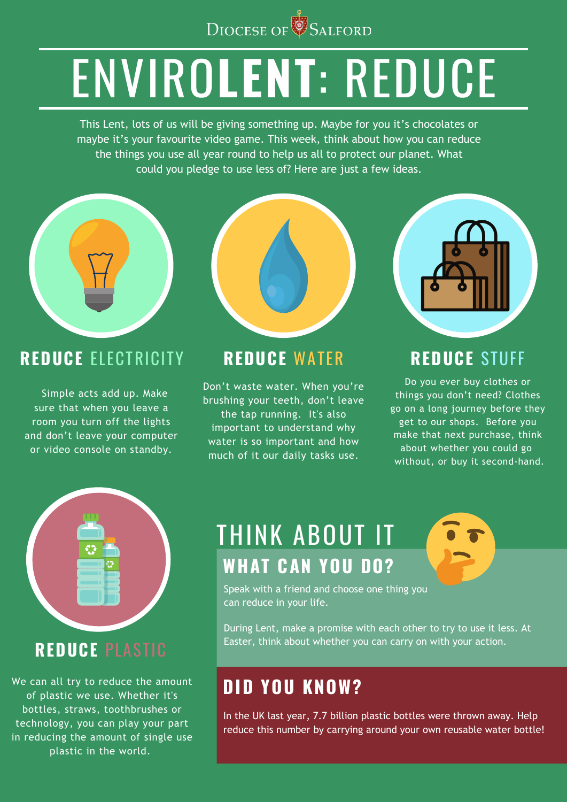

# ENVIRO**LENT**: REDUCE

This Lent, lots of us will be giving something up. Maybe for you it's chocolates or maybe it's your favourite video game. This week, think about how you can reduce the things you use all year round to help us all to protect our planet. What could you pledge to use less of? Here are just a few ideas.



Speak with a friend and choose one thing you can reduce in your life.

During Lent, make a promise with each other to try to use it less. At Easter, think about whether you can carry on with your action.

#### **REDUCE** ELECTRICITY

Do you ever buy clothes or things you don't need? Clothes go on a long journey before they get to our shops. Before you make that next purchase, think about whether you could go without, or buy it second-hand.

 Simple acts add up. Make sure that when you leave a room you turn off the lights

and don't leave your computer or video console on standby.

We can all try to reduce the amount of plastic we use. Whether it's bottles, straws, toothbrushes or technology, you can play your part in reducing the amount of single use plastic in the world.

#### **REDUCE** WATER

Don't waste water. When you're brushing your teeth, don't leave the tap running. It's also important to understand why water is so important and how much of it our daily tasks use.



#### **REDUCE** STUFF

#### **REDUCE** PLASTIC

## THINK ABOUT IT **WHAT CAN YOU DO?**

#### **DID YOU KNOW?**

In the UK last year, 7.7 billion plastic bottles were thrown away. Help reduce this number by carrying around your own reusable water bottle!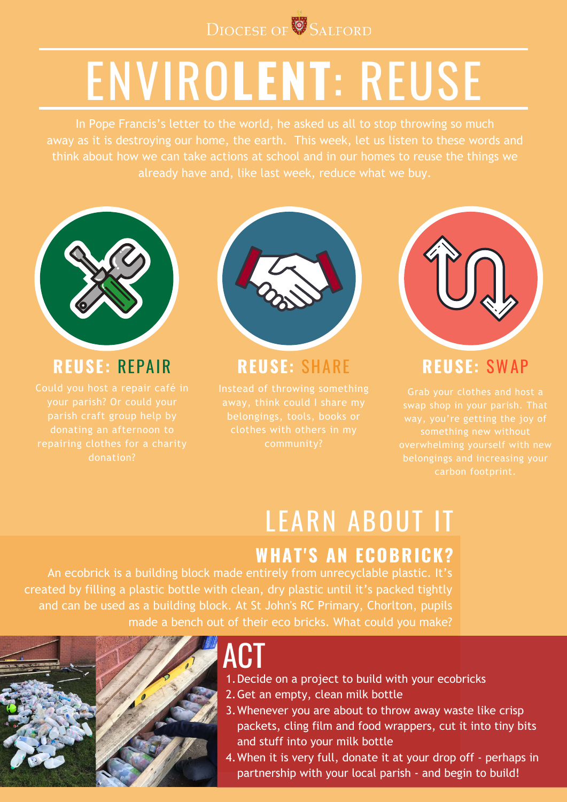# LEARN ABOUT IT



# ENVIRO**LENT**: REUSE

In Pope Francis's letter to the world, he asked us all to stop throwing so much away as it is destroying our home, the earth. This week, let us listen to these words and think about how we can take actions at school and in our homes to reuse the things we already have and, like last week, reduce what we buy.



#### **REUSE:** REPAIR

Could you host a repair café in your parish? Or could your parish craft group help by donating an afternoon to repairing clothes for a charity donation?



#### **REUSE:** SHARE

- 1. Decide on a project to build with your ecobricks
- 2. Get an empty, clean milk bottle
- 3. Whenever you are about to throw away waste like crisp packets, cling film and food wrappers, cut it into tiny bits and stuff into your milk bottle

Instead of throwing something away, think could I share my belongings, tools, books or clothes with others in my community?



4. When it is very full, donate it at your drop off - perhaps in partnership with your local parish - and begin to build!

#### **REUSE:** SWAP

Grab your clothes and host a swap shop in your parish. That way, you're getting the joy of something new without overwhelming yourself with new belongings and increasing your carbon footprint.

#### **WHAT'S AN ECOBRICK?**

# ACT

An ecobrick is a building block made entirely from unrecyclable plastic. It's created by filling a plastic bottle with clean, dry plastic until it's packed tightly and can be used as a building block. At St John's RC Primary, Chorlton, pupils made a bench out of their eco bricks. What could you make?

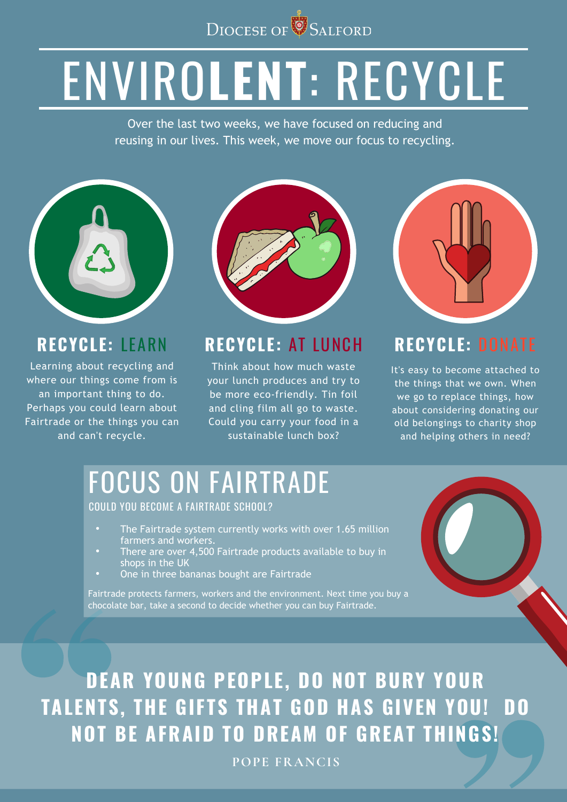

# ENVIRO**LENT**: RECYCLE

Over the last two weeks, we have focused on reducing and reusing in our lives. This week, we move our focus to recycling.



Learning about recycling and where our things come from is an important thing to do. Perhaps you could learn about Fairtrade or the things you can





#### **RECYCLE:** LEARN RECYCLE: AT LUNCH RECYCLE: DONATE

Think about how much waste your lunch produces and try to be more eco-friendly. Tin foil and cling film all go to waste. Could you carry your food in a

- The Fairtrade system currently works with over 1.65 million  $\bullet$  . farmers and workers.
- There are over 4,500 Fairtrade products available to buy in  $\bullet$  . shops in the UK
- One in three bananas bought are Fairtrade  $\bullet$

It's easy to become attached to the things that we own. When we go to replace things, how about considering donating our old belongings to charity shop

### **DEAR YOUNG PEOPLE, DO NOT BURY YOUR TALENTS, THE GIFTS THAT GOD HAS GIVEN YOU! DO NOT BE AFRAID TO DREAM OF GREAT THINGS!**

**POPE FRANCIS**

## FOCUS ON FAIRTRADE

#### COULD YOU BECOME A FAIRTRADE SCHOOL?

Fairtrade protects farmers, workers and the environment. Next time you buy a chocolate bar, take a second to decide whether you can buy Fairtrade.

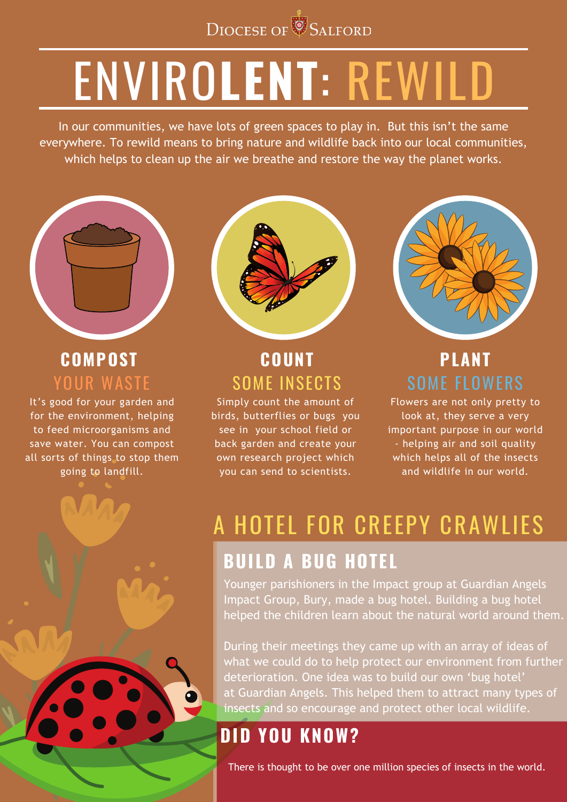Younger parishioners in the Impact group at Guardian Angels Impact Group, Bury, made a bug hotel. Building a bug hotel helped the children learn about the natural world around them.

In our communities, we have lots of green spaces to play in. But this isn't the same everywhere. To rewild means to bring nature and wildlife back into our local communities, which helps to clean up the air we breathe and restore the way the planet works.



During their meetings they came up with an array of ideas of what we could do to help protect our environment from further deterioration. One idea was to build our own 'bug hotel' at Guardian Angels. This helped them to attract many types of insects and so encourage and protect other local wildlife.

It's good for your garden and for the environment, helping to feed microorganisms and save water. You can compost all sorts of things to stop them going to landfill.





# ENVIRO**LENT**: REWILD

#### **COMPOST**  YOUR WASTE

#### **COUNT** SOME INSECTS

### **PLANT** SOME FLOWERS

### A HOTEL FOR CREEPY CRAWLIES **BUILD A BUG HOTEL**

### **DID YOU KNOW?**

There is thought to be over one million species of insects in the world.

Simply count the amount of birds, butterflies or bugs you see in your school field or back garden and create your own research project which you can send to scientists.

Flowers are not only pretty to look at, they serve a very important purpose in our world - helping air and soil quality which helps all of the insects and wildlife in our world.